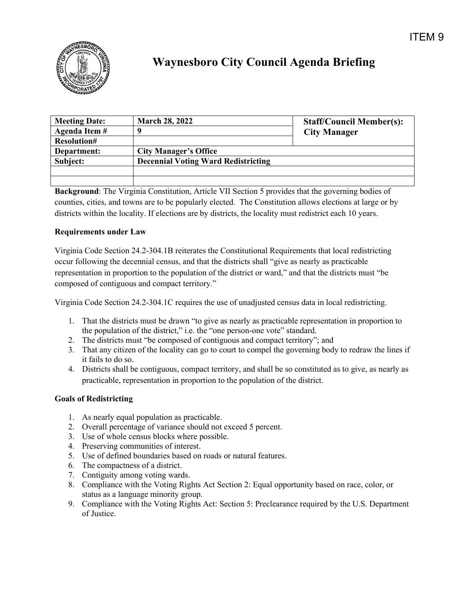

## **Waynesboro City Council Agenda Briefing**

| <b>Meeting Date:</b> | <b>March 28, 2022</b>                      | <b>Staff/Council Member(s):</b> |
|----------------------|--------------------------------------------|---------------------------------|
| Agenda Item #        |                                            | <b>City Manager</b>             |
| <b>Resolution#</b>   |                                            |                                 |
| Department:          | <b>City Manager's Office</b>               |                                 |
| Subject:             | <b>Decennial Voting Ward Redistricting</b> |                                 |
|                      |                                            |                                 |
|                      |                                            |                                 |

**Background**: The Virginia Constitution, Article VII Section 5 provides that the governing bodies of counties, cities, and towns are to be popularly elected. The Constitution allows elections at large or by districts within the locality. If elections are by districts, the locality must redistrict each 10 years.

## **Requirements under Law**

Virginia Code Section 24.2-304.1B reiterates the Constitutional Requirements that local redistricting occur following the decennial census, and that the districts shall "give as nearly as practicable representation in proportion to the population of the district or ward," and that the districts must "be composed of contiguous and compact territory."

Virginia Code Section 24.2-304.1C requires the use of unadjusted census data in local redistricting.

- 1. That the districts must be drawn "to give as nearly as practicable representation in proportion to the population of the district," i.e. the "one person-one vote" standard.
- 2. The districts must "be composed of contiguous and compact territory"; and
- 3. That any citizen of the locality can go to court to compel the governing body to redraw the lines if it fails to do so.
- 4. Districts shall be contiguous, compact territory, and shall be so constituted as to give, as nearly as practicable, representation in proportion to the population of the district.

## **Goals of Redistricting**

- 1. As nearly equal population as practicable.
- 2. Overall percentage of variance should not exceed 5 percent.
- 3. Use of whole census blocks where possible.
- 4. Preserving communities of interest.
- 5. Use of defined boundaries based on roads or natural features.
- 6. The compactness of a district.
- 7. Contiguity among voting wards.
- 8. Compliance with the Voting Rights Act Section 2: Equal opportunity based on race, color, or status as a language minority group.
- 9. Compliance with the Voting Rights Act: Section 5: Preclearance required by the U.S. Department of Justice.